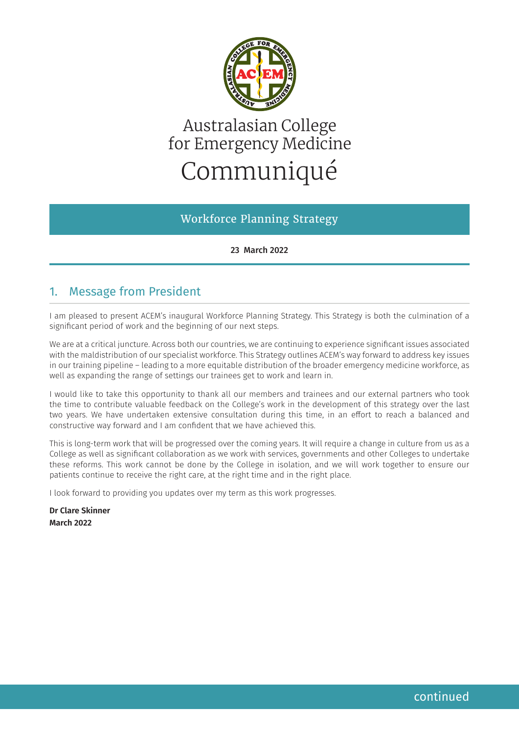

# Australasian College for Emergency Medicine Communiqué

Workforce Planning Strategy

23 March 2022

# 1. Message from President

I am pleased to present ACEM's inaugural Workforce Planning Strategy. This Strategy is both the culmination of a significant period of work and the beginning of our next steps.

We are at a critical juncture. Across both our countries, we are continuing to experience significant issues associated with the maldistribution of our specialist workforce. This Strategy outlines ACEM's way forward to address key issues in our training pipeline – leading to a more equitable distribution of the broader emergency medicine workforce, as well as expanding the range of settings our trainees get to work and learn in.

I would like to take this opportunity to thank all our members and trainees and our external partners who took the time to contribute valuable feedback on the College's work in the development of this strategy over the last two years. We have undertaken extensive consultation during this time, in an effort to reach a balanced and constructive way forward and I am confident that we have achieved this.

This is long-term work that will be progressed over the coming years. It will require a change in culture from us as a College as well as significant collaboration as we work with services, governments and other Colleges to undertake these reforms. This work cannot be done by the College in isolation, and we will work together to ensure our patients continue to receive the right care, at the right time and in the right place.

I look forward to providing you updates over my term as this work progresses.

**Dr Clare Skinner March 2022**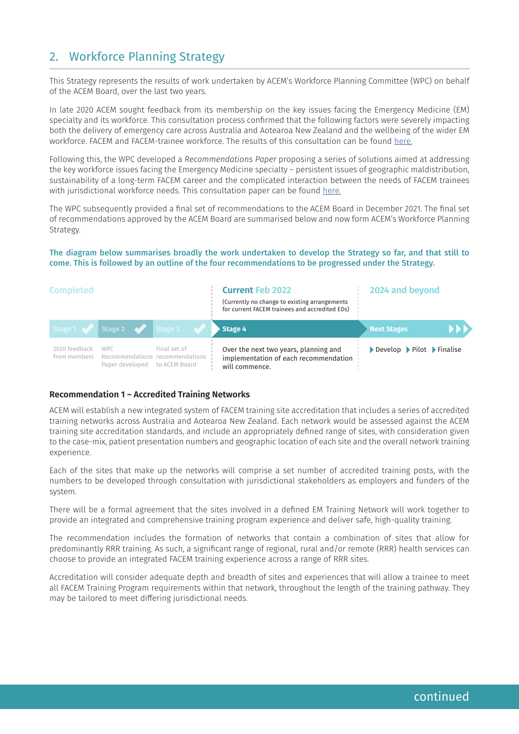# 2. Workforce Planning Strategy

This Strategy represents the results of work undertaken by ACEM's Workforce Planning Committee (WPC) on behalf of the ACEM Board, over the last two years.

In late 2020 ACEM sought feedback from its membership on the key issues facing the Emergency Medicine (EM) specialty and its workforce. This consultation process confirmed that the following factors were severely impacting both the delivery of emergency care across Australia and Aotearoa New Zealand and the wellbeing of the wider EM workforce. FACEM and FACEM-trainee workforce. The results of this consultation can be found [here](https://acem.org.au/getmedia/11ba9423-f4ae-4037-acd2-7e9bb9ceb670/201019_Workforce-Consultation-Report_FINAL_WEB).

Following this, the WPC developed a *Recommendations Paper* proposing a series of solutions aimed at addressing the key workforce issues facing the Emergency Medicine specialty – persistent issues of geographic maldistribution, sustainability of a long-term FACEM career and the complicated interaction between the needs of FACEM trainees with jurisdictional workforce needs. This consultation paper can be found [here](https://acem.org.au/getmedia/4c107ac0-9450-43ed-881f-e5d5801eb8cc/210817_Workforce-Planning-Consultation-Paper_FINAL_WEB).

The WPC subsequently provided a final set of recommendations to the ACEM Board in December 2021. The final set of recommendations approved by the ACEM Board are summarised below and now form ACEM's Workforce Planning Strategy.

The diagram below summarises broadly the work undertaken to develop the Strategy so far, and that still to come. This is followed by an outline of the four recommendations to be progressed under the Strategy.

| <b>Completed</b>              |                                                                                |                         | <b>Current Feb 2022</b><br>(Currently no change to existing arrangements<br>for current FACEM trainees and accredited EDs) | 2024 and beyond                                                           |  |
|-------------------------------|--------------------------------------------------------------------------------|-------------------------|----------------------------------------------------------------------------------------------------------------------------|---------------------------------------------------------------------------|--|
|                               |                                                                                | Stage 1 Stage 2 Stage 3 | $\blacktriangleright$ Stage 4                                                                                              | <b>Next Stages</b>                                                        |  |
| 2020 feedback<br>from members | <b>WPC</b><br>Recommendations recommendations<br>Paper developed to ACEM Board | Final set of            | Over the next two years, planning and<br>implementation of each recommendation<br>will commence.                           | $\triangleright$ Develop $\triangleright$ Pilot $\triangleright$ Finalise |  |

#### **Recommendation 1 – Accredited Training Networks**

ACEM will establish a new integrated system of FACEM training site accreditation that includes a series of accredited training networks across Australia and Aotearoa New Zealand. Each network would be assessed against the ACEM training site accreditation standards, and include an appropriately defined range of sites, with consideration given to the case-mix, patient presentation numbers and geographic location of each site and the overall network training experience. continued and the metallicity and the metallicity of the nearl two years, planning and<br>
from mentals and the metallicity of the metallicity of the metallicity of<br>
the metallicity of the metallicity of the metallicity of th

Each of the sites that make up the networks will comprise a set number of accredited training posts, with the numbers to be developed through consultation with jurisdictional stakeholders as employers and funders of the system.

There will be a formal agreement that the sites involved in a defined EM Training Network will work together to provide an integrated and comprehensive training program experience and deliver safe, high-quality training.

The recommendation includes the formation of networks that contain a combination of sites that allow for predominantly RRR training. As such, a significant range of regional, rural and/or remote (RRR) health services can choose to provide an integrated FACEM training experience across a range of RRR sites.

Accreditation will consider adequate depth and breadth of sites and experiences that will allow a trainee to meet all FACEM Training Program requirements within that network, throughout the length of the training pathway. They may be tailored to meet differing jurisdictional needs.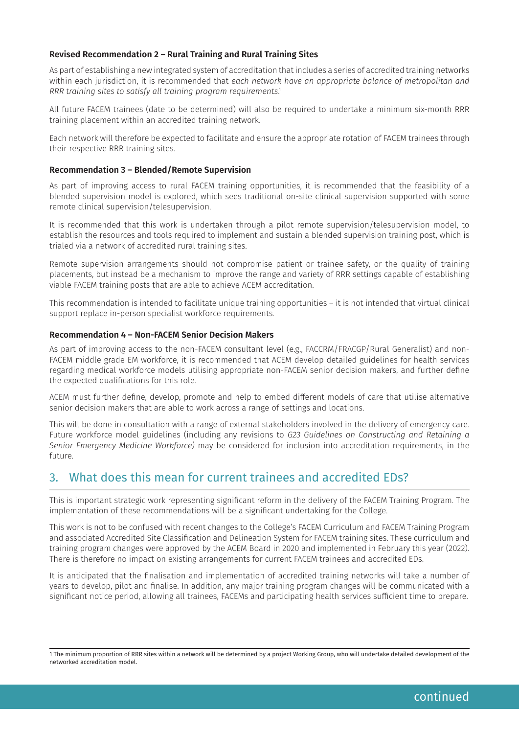#### **Revised Recommendation 2 – Rural Training and Rural Training Sites**

As part of establishing a new integrated system of accreditation that includes a series of accredited training networks within each jurisdiction, it is recommended that *each network have an appropriate balance of metropolitan and RRR training sites to satisfy all training program requirements*. 1

All future FACEM trainees (date to be determined) will also be required to undertake a minimum six-month RRR training placement within an accredited training network.

Each network will therefore be expected to facilitate and ensure the appropriate rotation of FACEM trainees through their respective RRR training sites.

#### **Recommendation 3 – Blended/Remote Supervision**

As part of improving access to rural FACEM training opportunities, it is recommended that the feasibility of a blended supervision model is explored, which sees traditional on-site clinical supervision supported with some remote clinical supervision/telesupervision.

It is recommended that this work is undertaken through a pilot remote supervision/telesupervision model, to establish the resources and tools required to implement and sustain a blended supervision training post, which is trialed via a network of accredited rural training sites.

Remote supervision arrangements should not compromise patient or trainee safety, or the quality of training placements, but instead be a mechanism to improve the range and variety of RRR settings capable of establishing viable FACEM training posts that are able to achieve ACEM accreditation.

This recommendation is intended to facilitate unique training opportunities – it is not intended that virtual clinical support replace in-person specialist workforce requirements.

#### **Recommendation 4 – Non-FACEM Senior Decision Makers**

As part of improving access to the non-FACEM consultant level (e.g., FACCRM/FRACGP/Rural Generalist) and non-FACEM middle grade EM workforce, it is recommended that ACEM develop detailed guidelines for health services regarding medical workforce models utilising appropriate non-FACEM senior decision makers, and further define the expected qualifications for this role.

ACEM must further define, develop, promote and help to embed different models of care that utilise alternative senior decision makers that are able to work across a range of settings and locations.

This will be done in consultation with a range of external stakeholders involved in the delivery of emergency care. Future workforce model guidelines (including any revisions to *G23 Guidelines on Constructing and Retaining a Senior Emergency Medicine Workforce)* may be considered for inclusion into accreditation requirements, in the future.

### 3. What does this mean for current trainees and accredited EDs?

This is important strategic work representing significant reform in the delivery of the FACEM Training Program. The implementation of these recommendations will be a significant undertaking for the College.

This work is not to be confused with recent changes to the College's FACEM Curriculum and FACEM Training Program and associated Accredited Site Classification and Delineation System for FACEM training sites. These curriculum and training program changes were approved by the ACEM Board in 2020 and implemented in February this year (2022). There is therefore no impact on existing arrangements for current FACEM trainees and accredited EDs.

It is anticipated that the finalisation and implementation of accredited training networks will take a number of years to develop, pilot and finalise. In addition, any major training program changes will be communicated with a significant notice period, allowing all trainees, FACEMs and participating health services sufficient time to prepare.

<sup>1</sup> The minimum proportion of RRR sites within a network will be determined by a project Working Group, who will undertake detailed development of the networked accreditation model.